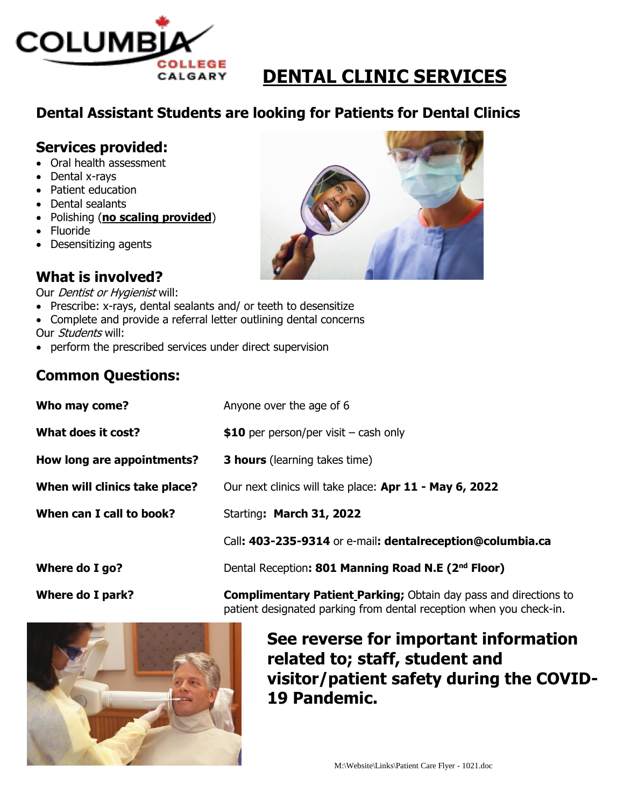

# **DENTAL CLINIC SERVICES**

## **Dental Assistant Students are looking for Patients for Dental Clinics**

#### **Services provided:**

- Oral health assessment
- Dental x-rays
- Patient education
- Dental sealants
- Polishing (**no scaling provided**)
- Fluoride
- Desensitizing agents

## **What is involved?**

Our *Dentist or Hygienist* will:

- Prescribe: x-rays, dental sealants and/ or teeth to desensitize
- Complete and provide a referral letter outlining dental concerns
- Our *Students* will:
- perform the prescribed services under direct supervision

### **Common Questions:**

| Where do I park?              | <b>Complimentary Patient Parking;</b> Obtain day pass and directions to |
|-------------------------------|-------------------------------------------------------------------------|
| Where do I go?                | Dental Reception: 801 Manning Road N.E (2 <sup>nd</sup> Floor)          |
|                               | Call: 403-235-9314 or e-mail: dentalreception@columbia.ca               |
| When can I call to book?      | Starting: March 31, 2022                                                |
| When will clinics take place? | Our next clinics will take place: Apr 11 - May 6, 2022                  |
| How long are appointments?    | <b>3 hours</b> (learning takes time)                                    |
| What does it cost?            | \$10 per person/per visit $-$ cash only                                 |
| Who may come?                 | Anyone over the age of 6                                                |

**19 Pandemic.**





**See reverse for important information** 

**visitor/patient safety during the COVID-**

**related to; staff, student and**